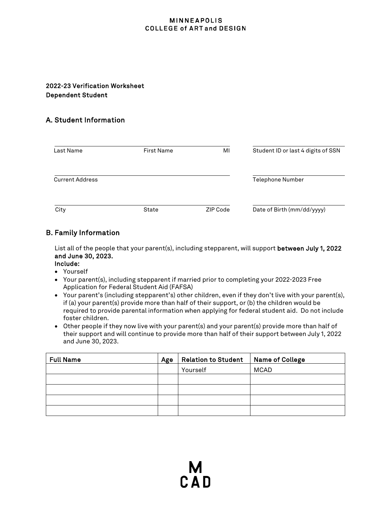#### **MINNEAPOLIS COLLEGE of ART and DESIGN**

## 2022-23 Verification Worksheet Dependent Student

# A. Student Information

| Last Name              | <b>First Name</b> | MI       | Student ID or last 4 digits of SSN |
|------------------------|-------------------|----------|------------------------------------|
| <b>Current Address</b> |                   |          | <b>Telephone Number</b>            |
| City                   | State             | ZIP Code | Date of Birth (mm/dd/yyyy)         |

## B. Family Information

List all of the people that your parent(s), including stepparent, will support between July 1, 2022 and June 30, 2023.

- Include:
- Yourself
- Your parent(s), including stepparent if married prior to completing your 2022-2023 Free Application for Federal Student Aid (FAFSA)
- Your parent's (including stepparent's) other children, even if they don't live with your parent(s), if (a) your parent(s) provide more than half of their support, or (b) the children would be required to provide parental information when applying for federal student aid. Do not include foster children.
- Other people if they now live with your parent(s) and your parent(s) provide more than half of their support and will continue to provide more than half of their support between July 1, 2022 and June 30, 2023.

| <b>Full Name</b> | Age | <b>Relation to Student</b> | Name of College |
|------------------|-----|----------------------------|-----------------|
|                  |     | Yourself                   | <b>MCAD</b>     |
|                  |     |                            |                 |
|                  |     |                            |                 |
|                  |     |                            |                 |
|                  |     |                            |                 |

M<br>C A D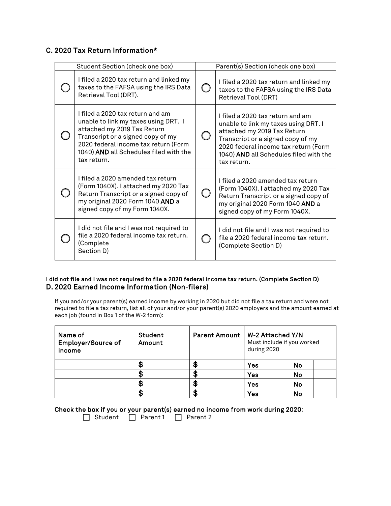## C. 2020 Tax Return Information\*

| Student Section (check one box) |                                                                                                                                                                                                                                               | Parent(s) Section (check one box) |                                                                                                                                                                                                                                               |
|---------------------------------|-----------------------------------------------------------------------------------------------------------------------------------------------------------------------------------------------------------------------------------------------|-----------------------------------|-----------------------------------------------------------------------------------------------------------------------------------------------------------------------------------------------------------------------------------------------|
|                                 | I filed a 2020 tax return and linked my<br>taxes to the FAFSA using the IRS Data<br>Retrieval Tool (DRT).                                                                                                                                     |                                   | I filed a 2020 tax return and linked my<br>taxes to the FAFSA using the IRS Data<br>Retrieval Tool (DRT)                                                                                                                                      |
|                                 | I filed a 2020 tax return and am<br>unable to link my taxes using DRT. I<br>attached my 2019 Tax Return<br>Transcript or a signed copy of my<br>2020 federal income tax return (Form<br>1040) AND all Schedules filed with the<br>tax return. |                                   | I filed a 2020 tax return and am<br>unable to link my taxes using DRT. I<br>attached my 2019 Tax Return<br>Transcript or a signed copy of my<br>2020 federal income tax return (Form<br>1040) AND all Schedules filed with the<br>tax return. |
|                                 | I filed a 2020 amended tax return<br>(Form 1040X). I attached my 2020 Tax<br>Return Transcript or a signed copy of<br>my original 2020 Form 1040 AND a<br>signed copy of my Form 1040X.                                                       |                                   | I filed a 2020 amended tax return<br>(Form 1040X). I attached my 2020 Tax<br>Return Transcript or a signed copy of<br>my original 2020 Form 1040 AND a<br>signed copy of my Form 1040X.                                                       |
|                                 | I did not file and I was not required to<br>file a 2020 federal income tax return.<br>(Complete<br>Section D)                                                                                                                                 |                                   | I did not file and I was not required to<br>file a 2020 federal income tax return.<br>(Complete Section D)                                                                                                                                    |

#### I did not file and I was not required to file a 2020 federal income tax return. (Complete Section D) D. 2020 Earned Income Information (Non-filers)

If you and/or your parent(s) earned income by working in 2020 but did not file a tax return and were not required to file a tax return, list all of your and/or your parent(s) 2020 employers and the amount earned at each job (found in Box 1 of the W-2 form):

| Name of<br><b>Employer/Source of</b><br>income | Student<br>Amount | <b>Parent Amount</b> | W-2 Attached Y/N<br>Must include if you worked<br>during 2020 |    |
|------------------------------------------------|-------------------|----------------------|---------------------------------------------------------------|----|
|                                                | Ð                 | ыn                   | Yes                                                           | No |
|                                                | \$                | æ                    | Yes                                                           | No |
|                                                | \$                | æ                    | Yes                                                           | No |
|                                                | \$                |                      | Yes                                                           | No |

Check the box if you or your parent(s) earned no income from work during 2020:

 $\Box$  Student  $\Box$  Parent 1  $\Box$  Parent 2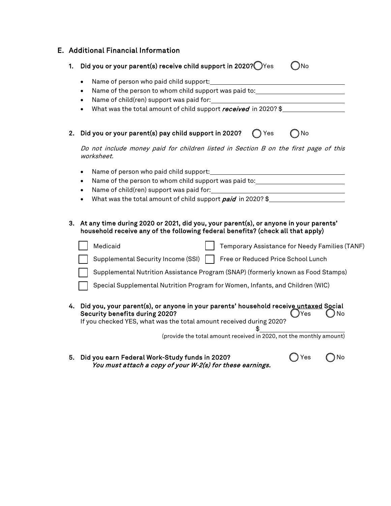|    | E. Additional Financial Information                                                                                                                                                                                                                                                                                                                            |  |  |  |  |
|----|----------------------------------------------------------------------------------------------------------------------------------------------------------------------------------------------------------------------------------------------------------------------------------------------------------------------------------------------------------------|--|--|--|--|
| 1. | Did you or your parent(s) receive child support in 2020? Yes<br>- )No                                                                                                                                                                                                                                                                                          |  |  |  |  |
|    | $\bullet$<br>Name of the person to whom child support was paid to: __________________________<br>Name of child(ren) support was paid for:<br><u> 1980 - Johann Barbara, martin amerikan basar dan basar dan basar dalam basar dalam basar dalam basar dalam b</u><br>$\bullet$<br>What was the total amount of child support received in 2020? \$<br>$\bullet$ |  |  |  |  |
| 2. | Did you or your parent(s) pay child support in 2020?<br>∩ Yes<br>No                                                                                                                                                                                                                                                                                            |  |  |  |  |
|    | Do not include money paid for children listed in Section B on the first page of this<br>worksheet.                                                                                                                                                                                                                                                             |  |  |  |  |
|    | $\bullet$<br>Name of the person to whom child support was paid to: __________________________<br>$\bullet$<br>$\bullet$<br>What was the total amount of child support paid in 2020? \$                                                                                                                                                                         |  |  |  |  |
| 3. | At any time during 2020 or 2021, did you, your parent(s), or anyone in your parents'<br>household receive any of the following federal benefits? (check all that apply)                                                                                                                                                                                        |  |  |  |  |
|    | Medicaid<br>Temporary Assistance for Needy Families (TANF)                                                                                                                                                                                                                                                                                                     |  |  |  |  |
|    | Supplemental Security Income (SSI)   Free or Reduced Price School Lunch                                                                                                                                                                                                                                                                                        |  |  |  |  |
|    | Supplemental Nutrition Assistance Program (SNAP) (formerly known as Food Stamps)                                                                                                                                                                                                                                                                               |  |  |  |  |
|    | Special Supplemental Nutrition Program for Women, Infants, and Children (WIC)                                                                                                                                                                                                                                                                                  |  |  |  |  |
| 4. | Did you, your parent(s), or anyone in your parents' household receive untaxed Social<br>Security benefits during 2020?<br>)Yes<br>No<br>If you checked YES, what was the total amount received during 2020?<br>(provide the total amount received in 2020, not the monthly amount)                                                                             |  |  |  |  |

5. Did you earn Federal Work-Study funds in 2020? Yes No You must attach a copy of your W-2(s) for these earnings.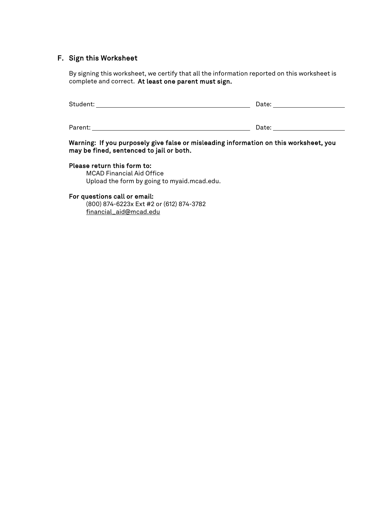# F. Sign this Worksheet

By signing this worksheet, we certify that all the information reported on this worksheet is complete and correct. At least one parent must sign.

| Student: | Date: |
|----------|-------|
|          |       |
| Parent:  | Date: |

#### Warning: If you purposely give false or misleading information on this worksheet, you may be fined, sentenced to jail or both.

### Please return this form to:

MCAD Financial Aid Office Upload the form by going to myaid.mcad.edu.

#### For questions call or email:

(800) 874-6223x Ext #2 or (612) 874-3782 [financial\\_aid@mcad.edu](mailto:financial_aid@mcad.edu)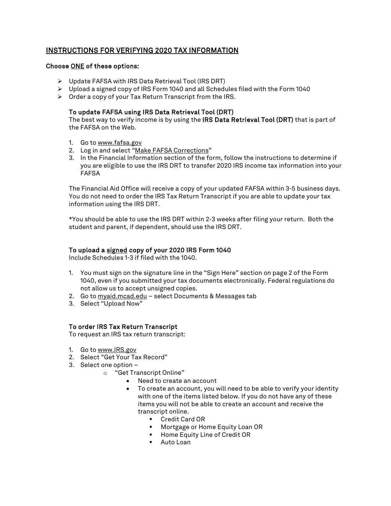# INSTRUCTIONS FOR VERIFYING 2020 TAX INFORMATION

#### Choose ONE of these options:

- Update FAFSA with IRS Data Retrieval Tool (IRS DRT)
- $\triangleright$  Upload a signed copy of IRS Form 1040 and all Schedules filed with the Form 1040
- $\triangleright$  Order a copy of your Tax Return Transcript from the IRS.

### To update FAFSA using IRS Data Retrieval Tool (DRT)

The best way to verify income is by using the IRS Data Retrieval Tool (DRT) that is part of the FAFSA on the Web.

- 1. Go to www.fafsa.gov
- 2. Log in and select "Make FAFSA Corrections"
- 3. In the Financial Information section of the form, follow the instructions to determine if you are eligible to use the IRS DRT to transfer 2020 IRS income tax information into your FAFSA

The Financial Aid Office will receive a copy of your updated FAFSA within 3-5 business days. You do not need to order the IRS Tax Return Transcript if you are able to update your tax information using the IRS DRT.

\*You should be able to use the IRS DRT within 2-3 weeks after filing your return. Both the student and parent, if dependent, should use the IRS DRT.

### To upload a signed copy of your 2020 IRS Form 1040

Include Schedules 1-3 if filed with the 1040.

- 1. You must sign on the signature line in the "Sign Here" section on page 2 of the Form 1040, even if you submitted your tax documents electronically. Federal regulations do not allow us to accept unsigned copies.
- 2. Go to myaid.mcad.edu select Documents & Messages tab
- 3. Select "Upload Now"

#### To order IRS Tax Return Transcript

To request an IRS tax return transcript:

- 1. Go to [www.IRS.gov](http://www.irs.gov/)
- 2. Select "Get Your Tax Record"
- 3. Select one option
	- o "Get Transcript Online"
		- Need to create an account
		- To create an account, you will need to be able to verify your identity with one of the items listed below. If you do not have any of these items you will not be able to create an account and receive the transcript online.
			- Credit Card OR
			- **•** Mortgage or Home Equity Loan OR
			- **EXECUTE:** Home Equity Line of Credit OR
			- **Auto Loan**